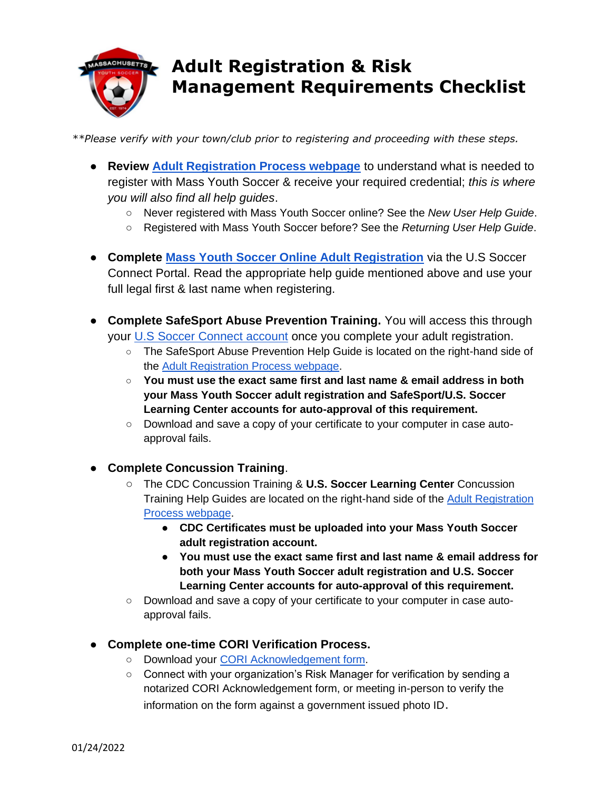

## **Adult Registration & Risk Management Requirements Checklist**

*\*\*Please verify with your town/club prior to registering and proceeding with these steps.* 

- **Review [Adult Registration Process webpage](https://www.mayouthsoccer.org/adult-registration-process/)** to understand what is needed to register with Mass Youth Soccer & receive your required credential; *this is where you will also find all help guides*.
	- Never registered with Mass Youth Soccer online? See the *New User Help Guide*.
	- Registered with Mass Youth Soccer before? See the *Returning User Help Guide*[.](https://www.mayouthsoccer.org/assets/61/6/mass_youth_soccer_adult_reg_help_guide__returning_user_2021v4.pdf)
- **Complete [Mass Youth Soccer Online Adult Registration](https://secure.sportsaffinity.com/reg/index.asp?sessionguid=&domain=ma%2Dcori%2Eaffinitysoccer%2Ecom)** via the U.S Soccer Connect Portal. Read the appropriate help guide mentioned above and use your full legal first & last name when registering.
- **Complete SafeSport Abuse Prevention Training.** You will access this through your [U.S Soccer Connect account](https://mayouthsoccer.sportsaffinity.com/Foundation/Login.aspx?sessionguid=) once you complete your adult registration.
	- The SafeSport Abuse Prevention Help Guide is located on the right-hand side of the [Adult Registration Process webpage.](https://www.mayouthsoccer.org/adult-registration-process/)
	- **You must use the exact same first and last name & email address in both your Mass Youth Soccer adult registration and SafeSport/U.S. Soccer Learning Center accounts for auto-approval of this requirement.**
	- Download and save a copy of your certificate to your computer in case autoapproval fails.
- **Complete Concussion Training**.
	- The CDC Concussion Training & **U.S. Soccer Learning Center** Concussion Training Help Guides are located on the right-hand side of the [Adult Registration](https://www.mayouthsoccer.org/adult-registration-process/)  [Process webpage.](https://www.mayouthsoccer.org/adult-registration-process/)
		- **CDC Certificates must be uploaded into your Mass Youth Soccer adult registration account.**
		- **You must use the exact same first and last name & email address for both your Mass Youth Soccer adult registration and U.S. Soccer Learning Center accounts for auto-approval of this requirement.**
	- Download and save a copy of your certificate to your computer in case autoapproval fails.
- **Complete one-time CORI Verification Process.**
	- Download your [CORI Acknowledgement form.](https://www.mayouthsoccer.org/assets/61/6/how_to_verify_reg_-find_trainin_linksdocx-print_cori_acknowledgement_form.pdf)
	- Connect with your organization's Risk Manager for verification by sending a notarized CORI Acknowledgement form, or meeting in-person to verify the information on the form against a government issued photo ID.